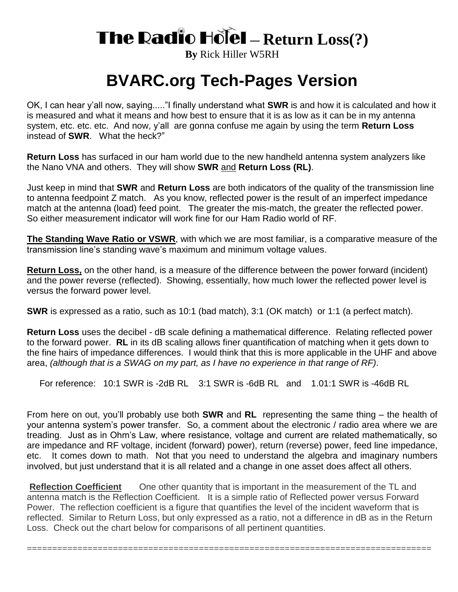## **The Radio Hotel - Return Loss(?)**

**By** Rick Hiller W5RH

## **BVARC.org Tech-Pages Version**

OK, I can hear y'all now, saying....."I finally understand what **SWR** is and how it is calculated and how it is measured and what it means and how best to ensure that it is as low as it can be in my antenna system, etc. etc. etc. And now, y'all are gonna confuse me again by using the term **Return Loss** instead of **SWR**. What the heck?"

**Return Loss** has surfaced in our ham world due to the new handheld antenna system analyzers like the Nano VNA and others. They will show **SWR** and **Return Loss (RL)**.

Just keep in mind that **SWR** and **Return Loss** are both indicators of the quality of the transmission line to antenna feedpoint Z match. As you know, reflected power is the result of an imperfect impedance match at the antenna (load) feed point. The greater the mis-match, the greater the reflected power. So either measurement indicator will work fine for our Ham Radio world of RF.

**The Standing Wave Ratio or VSWR**, with which we are most familiar, is a comparative measure of the transmission line's standing wave's maximum and minimum voltage values.

**Return Loss,** on the other hand, is a measure of the difference between the power forward (incident) and the power reverse (reflected). Showing, essentially, how much lower the reflected power level is versus the forward power level.

**SWR** is expressed as a ratio, such as 10:1 (bad match), 3:1 (OK match) or 1:1 (a perfect match).

**Return Loss** uses the decibel - dB scale defining a mathematical difference. Relating reflected power to the forward power. **RL** in its dB scaling allows finer quantification of matching when it gets down to the fine hairs of impedance differences. I would think that this is more applicable in the UHF and above area, *(although that is a SWAG on my part, as I have no experience in that range of RF)*.

For reference: 10:1 SWR is -2dB RL 3:1 SWR is -6dB RL and 1.01:1 SWR is -46dB RL

From here on out, you'll probably use both **SWR** and **RL** representing the same thing – the health of your antenna system's power transfer. So, a comment about the electronic / radio area where we are treading. Just as in Ohm's Law, where resistance, voltage and current are related mathematically, so are impedance and RF voltage, incident (forward) power), return (reverse) power, feed line impedance, etc. It comes down to math. Not that you need to understand the algebra and imaginary numbers involved, but just understand that it is all related and a change in one asset does affect all others.

**Reflection Coefficient** One other quantity that is important in the measurement of the TL and antenna match is the Reflection Coefficient. It is a simple ratio of Reflected power versus Forward Power. The reflection coefficient is a figure that quantifies the level of the incident waveform that is reflected. Similar to Return Loss, but only expressed as a ratio, not a difference in dB as in the Return Loss. Check out the chart below for comparisons of all pertinent quantities.

================================================================================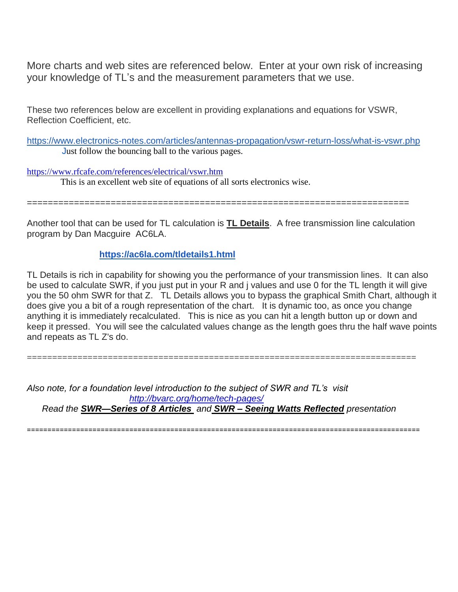More charts and web sites are referenced below. Enter at your own risk of increasing your knowledge of TL's and the measurement parameters that we use.

These two references below are excellent in providing explanations and equations for VSWR, Reflection Coefficient, etc.

<https://www.electronics-notes.com/articles/antennas-propagation/vswr-return-loss/what-is-vswr.php> Just follow the bouncing ball to the various pages.

<https://www.rfcafe.com/references/electrical/vswr.htm> This is an excellent web site of equations of all sorts electronics wise.

=========================================================================

Another tool that can be used for TL calculation is **TL Details**. A free transmission line calculation program by Dan Macguire AC6LA.

## **<https://ac6la.com/tldetails1.html>**

TL Details is rich in capability for showing you the performance of your transmission lines. It can also be used to calculate SWR, if you just put in your R and j values and use 0 for the TL length it will give you the 50 ohm SWR for that Z. TL Details allows you to bypass the graphical Smith Chart, although it does give you a bit of a rough representation of the chart. It is dynamic too, as once you change anything it is immediately recalculated. This is nice as you can hit a length button up or down and keep it pressed. You will see the calculated values change as the length goes thru the half wave points and repeats as TL Z's do.

*Also note, for a foundation level introduction to the subject of SWR and TL's visit <http://bvarc.org/home/tech-pages/> Read the SWR—Series of 8 Articles and SWR – Seeing Watts Reflected presentation*

=============================================================================

================================================================================================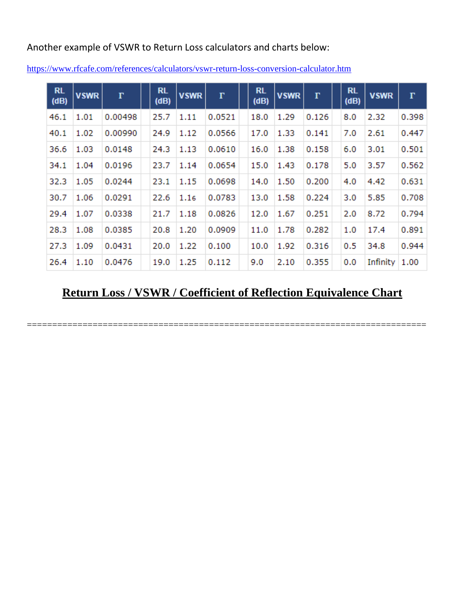Another example of VSWR to Return Loss calculators and charts below:

| <b>RL</b><br>(dB) | <b>VSWR</b> | $\Gamma$ | <b>RL</b><br>(dB) | <b>VSWR</b> | $\Gamma$ | <b>RL</b><br>(dB) | <b>VSWR</b> | $\Gamma$ | <b>RL</b><br>(dB) | <b>VSWR</b>     | $\Gamma$ |
|-------------------|-------------|----------|-------------------|-------------|----------|-------------------|-------------|----------|-------------------|-----------------|----------|
| 46.1              | 1.01        | 0.00498  | 25.7              | 1.11        | 0.0521   | 18.0              | 1.29        | 0.126    | 8.0               | 2.32            | 0.398    |
| 40.1              | 1.02        | 0.00990  | 24.9              | 1.12        | 0.0566   | 17.0              | 1.33        | 0.141    | 7.0               | 2.61            | 0.447    |
| 36.6              | 1.03        | 0.0148   | 24.3              | 1.13        | 0.0610   | 16.0              | 1.38        | 0.158    | 6.0               | 3.01            | 0.501    |
| 34.1              | 1.04        | 0.0196   | 23.7              | 1.14        | 0.0654   | 15.0              | 1.43        | 0.178    | 5.0               | 3.57            | 0.562    |
| 32.3              | 1.05        | 0.0244   | 23.1              | 1.15        | 0.0698   | 14.0              | 1.50        | 0.200    | 4.0               | 4.42            | 0.631    |
| 30.7              | 1.06        | 0.0291   | 22.6              | 1.16        | 0.0783   | 13.0              | 1.58        | 0.224    | 3.0               | 5.85            | 0.708    |
| 29.4              | 1.07        | 0.0338   | 21.7              | 1.18        | 0.0826   | 12.0              | 1.67        | 0.251    | 2.0               | 8.72            | 0.794    |
| 28.3              | 1.08        | 0.0385   | 20.8              | 1.20        | 0.0909   | 11.0              | 1.78        | 0.282    | 1.0               | 17.4            | 0.891    |
| 27.3              | 1.09        | 0.0431   | 20.0              | 1.22        | 0.100    | 10.0              | 1.92        | 0.316    | 0.5               | 34.8            | 0.944    |
| 26.4              | 1.10        | 0.0476   | 19.0              | 1.25        | 0.112    | 9.0               | 2.10        | 0.355    | 0.0               | Infinity $1.00$ |          |

<https://www.rfcafe.com/references/calculators/vswr-return-loss-conversion-calculator.htm>

## **Return Loss / VSWR / Coefficient of Reflection Equivalence Chart**

===============================================================================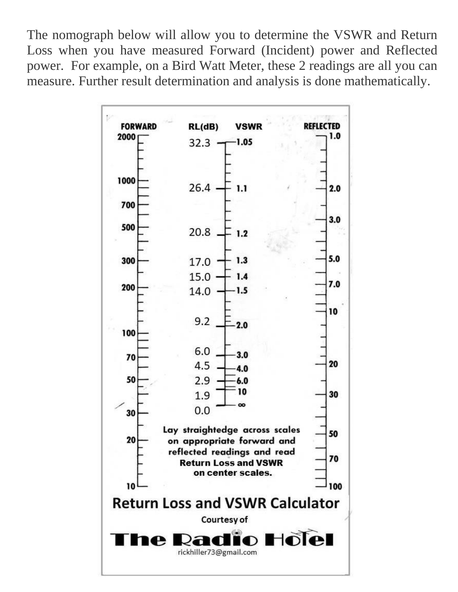The nomograph below will allow you to determine the VSWR and Return Loss when you have measured Forward (Incident) power and Reflected power. For example, on a Bird Watt Meter, these 2 readings are all you can measure. Further result determination and analysis is done mathematically.